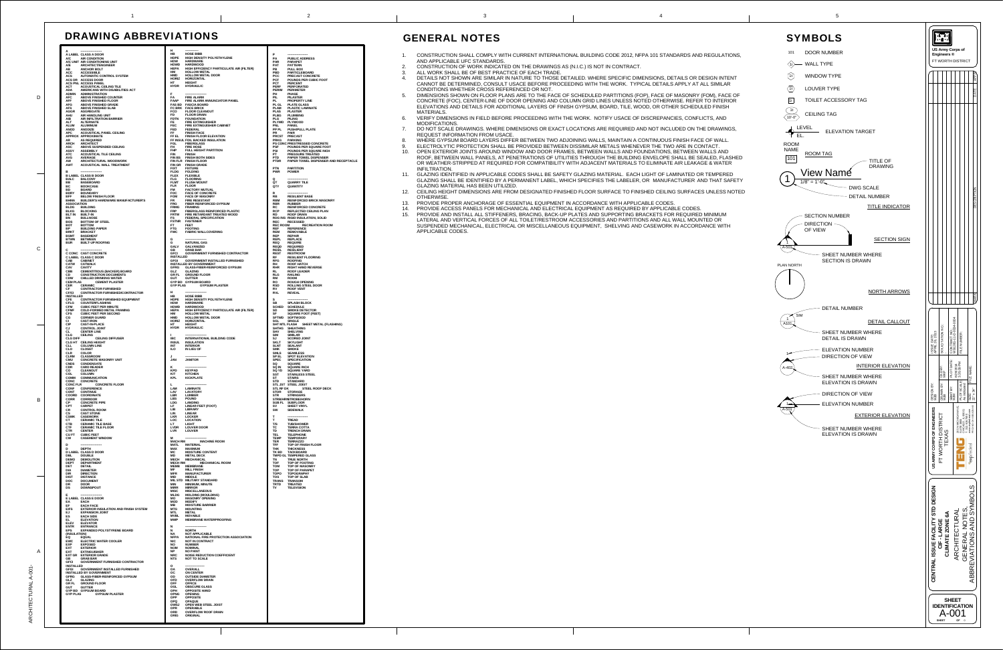- 1. CONSTRUCTION SHALL COMPLY WITH CURRENT INTERNATIONAL BUILDING CODE 2012, NFPA 101 STANDARDS AND REGULATIONS, AND APPLICABLE UFC STANDARDS.
- 2. CONSTRUCTION OF WORK INDICATED ON THE DRAWINGS AS (N.I.C.) IS NOT IN CONTRACT.
- 3. ALL WORK SHALL BE OF BEST PRACTICE OF EACH TRADE. 4. DETAILS NOT SHOWN ARE SIMILAR IN NATURE TO THOSE DETAILED. WHERE SPECIFIC DIMENSIONS, DETAILS OR DESIGN INTENT CANNOT BE DETERMINED, CONSULT USACE BEFORE PROCEEDING WITH THE WORK. TYPICAL DETAILS APPLY AT ALL SIMILAR CONDITIONS WHETHER CROSS REFERENCED OR NOT.
- 5. DIMENSIONS SHOWN ON FLOOR PLANS ARE TO THE FACE OF SCHEDULED PARTITIONS (FOP), FACE OF MASONRY (FOM), FACE OF CONCRETE (FOC), CENTER-LINE OF DOOR OPENING AND COLUMN GRID LINES UNLESS NOTED OTHERWISE. REFER TO INTERIOR ELEVATIONS AND DETAILS FOR ADDITIONAL LAYERS OF FINISH GYPSUM, BOARD, TILE, WOOD, OR OTHER SCHEDULED FINISH MATERIALS.
- 6. VERIFY DIMENSIONS IN FIELD BEFORE PROCEEDING WITH THE WORK. NOTIFY USACE OF DISCREPANCIES, CONFLICTS, AND MODIFICATIONS.
- 7. DO NOT SCALE DRAWINGS. WHERE DIMENSIONS OR EXACT LOCATIONS ARE REQUIRED AND NOT INCLUDED ON THE DRAWINGS, REQUEST INFORMATION FROM USACE.
- WHERE GYPSUM BOARD LAYERS DIFFER BETWEEN TWO ADJOINING WALLS, MAINTAIN A CONTINUOUS FINISH FACE OF WALL.
- 9. ELECTROLYTIC PROTECTION SHALL BE PROVIDED BETWEEN DISSIMILAR METALS WHENEVER THE TWO ARE IN CONTACT. 10. OPEN EXTERIOR JOINTS AROUND WINDOW AND DOOR FRAMES, BETWEEN WALLS AND FOUNDATIONS, BETWEEN WALLS AND ROOF, BETWEEN WALL PANELS, AT PENETRATIONS OF UTILITIES THROUGH THE BUILDING ENVELOPE SHALL BE SEALED, FLASHED OR WEATHER-STRIPPED AT REQUIRED FOR COMPATIBILITY WITH ADJACENT MATERIALS TO ELIMINATE AIR LEAKAGE & WATERINFILTRATION.
- 11. GLAZING IDENTIFIED IN APPLICABLE CODES SHALL BE SAFETY GLAZING MATERIAL. EACH LIGHT OF LAMINATED OR TEMPERED GLAZING SHALL BE IDENTIFIED BY A PERMANENT LABEL, WHICH SPECIFIES THE LABELER, OR MANUFACTURER AND THAT SAFETY GLAZING MATERIAL HAS BEEN UTILIZED.
- 12. CEILING HEIGHT DIMENSIONS ARE FROM DESIGNATED FINISHED FLOOR SURFACE TO FINISHED CEILING SURFACES UNLESS NOTED OTHERWISE.
- 13. PROVIDE PROPER ANCHORAGE OF ESSENTIAL EQUIPMENT IN ACCORDANCE WITH APPLICABLE CODES.
- 14. PROVIDE ACCESS PANELS FOR MECHANICAL AND ELECTRICAL EQUIPMENT AS REQUIRED BY APPLICABLE CODES.
- 15. PROVIDE AND INSTALL ALL STIFFENERS, BRACING, BACK-UP PLATES AND SUPPORTING BRACKETS FOR REQUIRED MINIMUM LATERAL AND VERTICAL FORCES OF ALL TOILET/RESTROOM ACCESSORIES AND PARTITIONS AND ALL WALL MOUNTED OR SUSPENDED MECHANICAL, ELECTRICAL OR MISCELLANEOUS EQUIPMENT, SHELVING AND CASEWORK IN ACCORDANCE WITH APPLICABLE CODES.

## DRAWING ABBREVIATIONS

| A<br>A LABEL CLASS A DOOR                                                                          | H<br><b>HB</b><br><b>HOSE BIBB</b>                                                                                                                     | P                                                                                          |
|----------------------------------------------------------------------------------------------------|--------------------------------------------------------------------------------------------------------------------------------------------------------|--------------------------------------------------------------------------------------------|
| A/C<br><b>AIR CONDITION</b><br>A/C UNIT AIR CONDITIONING UNIT                                      | <b>HDPE</b><br>HIGH DENSITY POLYETHYLENE<br><b>HDW</b><br><b>HARDWARE</b>                                                                              | PA<br><b>PUBLIC ADDRESS</b><br><b>PAR</b><br><b>PARAPET</b>                                |
| A/E<br><b>ARCHITECT/ENGINEER</b>                                                                   | <b>HDWD</b><br><b>HARDWOOD</b>                                                                                                                         | <b>PAT</b><br><b>PATTERN</b>                                                               |
| AB<br><b>ANCHOR BOLT</b><br><b>ACC</b><br><b>ACCESSIBLE</b>                                        | <b>HEPA</b><br>HIGH EFFICIENCY PARTICULATE AIR (FILTER)<br><b>HM</b><br><b>HOLLOW METAL</b>                                                            | PB<br><b>PULL BOX</b><br><b>PBD</b><br><b>PARTICLEBOARD</b>                                |
| <b>ACS</b><br><b>AUTOMATIC CONTROL SYSTEM</b><br>ACS DR ACCESS DOOR                                | <b>HMD</b><br><b>HOLLOW METAL DOOR</b><br><b>HORIZ</b><br><b>HORIZONTAL</b>                                                                            | <b>PCC</b><br><b>PRECAST CONCRETE</b><br><b>PCF</b><br><b>POUNDS PER CUBIC FOOT</b>        |
| ACS PNL ACCESS PANEL                                                                               | HT<br><b>HEIGHT</b><br><b>HYDR</b><br><b>HYDRAULIC</b>                                                                                                 | <b>PCT</b><br><b>PERCENT</b>                                                               |
| <b>ACOUSTICAL CEILING TILE</b><br><b>ACT</b><br><b>ADA</b><br>AMERICANS WITH DISABILITIES ACT      |                                                                                                                                                        | <b>PERF</b><br><b>PERFORATED</b><br><b>PERIM</b><br><b>PERIMETER</b>                       |
| <b>ADMIN</b><br><b>ADMINISTRATION</b><br><b>AFC</b><br><b>ABOVE FINISHED COUNTER</b>               | F<br><b>FA</b><br><b>FIRE ALARM</b>                                                                                                                    | PH<br><b>PHASE</b><br><b>PIL</b><br><b>PILASTER</b>                                        |
| <b>AFF</b><br><b>ABOVE FINISHED FLOOR</b><br><b>AFG</b><br><b>ABOVE FINISHED GRADE</b>             | <b>FAAP</b><br>FIRE ALARM ANNUNCIATOR PANEL<br><b>FAS BD FASCIA BOARD</b>                                                                              | PL<br><b>PROPERTY LINE</b><br>PL GL PLATE GLASS                                            |
| <b>AFS</b><br><b>ABOVE FINISHED SLAB</b>                                                           | FC BRK FACE BRICK<br>ASCIA BUAND<br>FLOOR CLEANOUT<br>FLOOR DEAIN<br>FOUNDATION<br>FIRE EXTINGUISHER<br>FIRE EXTINGUISHER<br>FIRE EXTINGUISHER CABINET | <b>PLAM</b><br><b>PLASTIC LAMINATE</b>                                                     |
| <b>AGGR</b><br><b>AGGREGATE</b><br><b>AHU</b><br>AIR HANDLING UNIT                                 | <b>FCO</b><br>FD                                                                                                                                       | <b>PLAS</b><br><b>PLASTER</b><br><b>PLBG</b><br><b>PLUMBING</b>                            |
| <b>AIR INFILTRATION BARRIER</b><br><b>AIB</b><br><b>ALT</b><br><b>ALTERNATE</b>                    | <b>FDTN</b><br>FE.                                                                                                                                     | <b>PLG</b><br><b>PILING</b><br>PLYWD PLYWOOD                                               |
| <b>ALUM</b><br><b>ALUMINUM</b>                                                                     | <b>FEC</b>                                                                                                                                             | <b>PNL</b><br><b>PANEL</b>                                                                 |
| <b>ANOD</b><br><b>ANODIZE</b><br><b>APC</b><br><b>ACOUSTICAL PANEL CEILING</b>                     | <b>FED</b><br>FF.<br><b>FINISH FACE</b>                                                                                                                | PP PL<br><b>PUSH/PULL PLATE</b><br><b>PR</b><br><b>PAIR</b>                                |
| APPROX APPROXIMATE<br><b>AS REQUIRED</b><br>AR                                                     | FF EL<br><b>FINISH FLOOR ELEVATION</b><br>FF INSUL FOIL BACKED INSULATION                                                                              | PRCST PRECAST<br><b>PRKG</b><br><b>PARKING</b>                                             |
| <b>ARCH</b><br><b>ARCHITECT</b>                                                                    | FGL<br><b>FIBERGLASS</b>                                                                                                                               | PS CONC PRESTRESSED CONCRETE                                                               |
| ABOVE SUSPENDED CEILING<br><b>ASC</b><br><b>ASSY</b><br><b>ASSEMBLY</b>                            | FH.<br><b>FIRE HOSE</b><br><b>FHP</b><br><b>FULL HEIGHT PARTITION</b>                                                                                  | <b>PSF</b><br><b>POUNDS PER SQUARE FOOT</b><br><b>PSI</b><br><b>POUNDS PER SQUARE INCH</b> |
| <b>ATC</b><br><b>ACOUSTICAL TILE CEILING</b><br><b>AVG</b><br><b>AVERAGE</b>                       | <b>FIN</b><br><b>FINISH</b><br><b>FIN BS</b><br><b>FINISH BOTH SIDES</b>                                                                               | <b>PT</b><br><b>PRESSURE TREATED</b><br><b>PTD</b><br><b>PAPER TOWEL DISPENSER</b>         |
| ARCHITECTURAL WOODWORK<br>AW                                                                       | FIN FLR FINISH FLOOR                                                                                                                                   | <b>PTDR</b><br><b>PAPER TOWEL DISPENSER AND RECEPTACLE</b>                                 |
| <b>AWT</b><br><b>ACOUSTICAL WALL TREATMENT</b>                                                     | <b>FIN GR</b><br><b>FINISH GRADE</b><br><b>FIXT</b><br><b>FIXTURE</b>                                                                                  | <b>PTN</b><br><b>PARTITION</b>                                                             |
| в<br><b>B LABEL CLASS B DOOR</b>                                                                   | <b>FLDG</b><br><b>FOLDING</b><br><b>FLEX</b><br><b>FLEXIBLE</b>                                                                                        | <b>PWR</b><br><b>POWER</b>                                                                 |
| <b>BALC</b><br><b>BALCONY</b><br>BB                                                                | <b>FLG</b><br><b>FLOORING</b><br><b>FLMT</b><br><b>FLUSH MOUNT</b>                                                                                     | Q<br>QT<br><b>QUARRY TILE</b>                                                              |
| <b>BASEBOARD</b><br><b>BC</b><br><b>BOOKCASE</b>                                                   | <b>FLR</b><br><b>FLOOR</b>                                                                                                                             | QTY<br><b>QUANTITY</b>                                                                     |
| <b>BD</b><br><b>BOARD</b><br><b>BDRY</b><br><b>BOUNDARY</b>                                        | <b>FM</b><br><b>FACTORY MUTUAL</b><br><b>FOC</b><br><b>FACE OF CONCRETE</b>                                                                            | R                                                                                          |
| <b>BFF</b><br><b>BELOW FINISH FLOOR</b><br><b>BHMA</b><br><b>BUILDER'S HARDWARE MANUFACTURER'S</b> | <b>FOM</b><br><b>FACE OF MASONRY</b><br><b>FR</b><br><b>FIRE RESISTANT</b>                                                                             | ${\sf RB}$<br><b>RESILIENT BASE</b><br><b>RBM</b><br><b>REINFORCED BRICK MASONRY</b>       |
| <b>ASSOCIATION</b>                                                                                 | <b>FRG</b><br><b>FIBER REINFORCED GYPSUM</b>                                                                                                           | <b>RBR</b><br><b>RUBBER</b>                                                                |
| <b>BLDG</b><br><b>BUILDING</b><br><b>BLKG</b><br><b>BLOCKING</b>                                   | <b>FRMG</b><br><b>FRAMING</b><br><b>FRP</b><br><b>FIBERGLASS REINFORCED PLASTIC</b>                                                                    | <b>RC</b><br><b>REINFORCED CONCRETE</b><br><b>RCP</b><br><b>REFLECTED CEILING PLAN</b>     |
| <b>BLT IN</b><br><b>BUILT-IN</b><br>BN<br><b>BULLNOSE</b>                                          | <b>FRTW</b><br>FIRE RETARDANT TREATED WOOD<br>FS<br><b>FEDERAL SPECIFICATION</b>                                                                       | <b>RD</b><br><b>ROOF DRAIN</b><br>RDG INS RIGID INSULATION, SOLID                          |
| <b>BOS</b><br><b>BOTTOM OF STEEL</b>                                                               | <b>FSTNR</b><br><b>FASTENER</b>                                                                                                                        | <b>REC</b><br><b>RECESSED</b>                                                              |
| <b>BOT</b><br><b>BOTTOM</b><br><b>BP</b><br><b>BUILDING PAPER</b>                                  | <b>FEET</b><br>FT.<br><b>FTG</b><br><b>FOOTING</b>                                                                                                     | <b>REC ROOM</b><br><b>RECREATION ROOM</b><br><b>REF</b><br><b>REFERENCE</b>                |
| <b>BRKT</b><br><b>BRACKET</b><br><b>BSMT</b><br><b>BASEMENT</b>                                    | <b>FWC</b><br><b>FABRIC WALLCOVERING</b>                                                                                                               | <b>REM</b><br><b>REMOVABLE</b><br><b>REP</b><br><b>REPAIR</b>                              |
| <b>BTWN</b><br><b>BETWEEN</b><br><b>BUILT-UP ROOFING</b>                                           | G<br>G<br><b>NATURAL GAS</b>                                                                                                                           | <b>REPL</b><br><b>REPLACE</b><br><b>REQ</b><br><b>REQUIRE</b>                              |
| <b>BUR</b>                                                                                         | <b>GALV</b><br><b>GALVANIZED</b>                                                                                                                       | <b>REQD</b><br><b>REQUIRED</b>                                                             |
| C<br><b>C CONC CAST CONCRETE</b>                                                                   | <b>GRAB BAR</b><br>GB.<br><b>GFCI</b><br><b>GOVERNMENT FURNISHED CONTRACTOR</b>                                                                        | <b>RESIL</b><br><b>RESILIENT</b><br><b>REST</b><br><b>RESTROOM</b>                         |
| <b>CLABEL CLASS C DOOR</b><br><b>CAB</b><br><b>CABINET</b>                                         | <b>INSTALLED</b><br><b>GFGI</b><br><b>GOVERNMENT INSTALLED FURNISHED</b>                                                                               | <b>RF</b><br><b>RESILIENT FLOORING</b><br><b>RFG</b><br><b>ROOFING</b>                     |
| CATW CATWALK                                                                                       | <b>INSTALLED BY GOVERNMENT</b>                                                                                                                         | RH<br><b>ROOF HATCH</b>                                                                    |
| <b>CAV</b><br><b>CAVITY</b><br><b>CBB</b><br><b>CEMENTITIOUS (BACKER) BOARD</b>                    | GFRG GLASS-FIBER-REINFORCED GYPSUM<br>GLZ<br><b>GLAZING</b>                                                                                            | <b>RHR</b><br><b>RIGHT HAND REVERSE</b><br><b>RL</b><br><b>ROOF LEADER</b>                 |
| CD<br><b>CONSTRUCTION DOCUMENTS</b><br><b>CHILLED DRINKING WATER</b><br><b>CDW</b>                 | <b>GR FL GROUND FLOOR</b><br><b>GUT</b><br><b>GUTTER</b>                                                                                               | <b>RLG</b><br><b>RAILING</b><br><b>RM</b><br><b>ROOM</b>                                   |
| <b>CEM PLAS</b><br><b>CEMENT PLASTER</b>                                                           | <b>GYP BD GYPSUM BOARD</b>                                                                                                                             | <b>RO</b><br><b>ROUGH OPENING</b>                                                          |
| <b>CER</b><br><b>CERAMIC</b><br><b>CF</b><br><b>CONTRACTOR FURNISHED</b>                           | <b>GYP PLAS</b><br><b>GYPSUM PLASTER</b>                                                                                                               | <b>RSD</b><br><b>ROLLING STEEL DOOR</b><br>RV<br><b>ROOF VENT</b>                          |
| <b>CF/CI</b><br><b>CONTRACTOR FURNISHED/CONTRACTOR</b><br><b>INSTALLED</b>                         | Н.<br>---------------------<br><b>HB</b><br><b>HOSE BIBB</b>                                                                                           | <b>RVL</b><br><b>REVEAL</b>                                                                |
| <b>CFE</b><br><b>CONTRACTOR FURNISHED EQUIPMENT</b><br><b>CFLG</b>                                 | <b>HDPE</b><br><b>HIGH DENSITY POLYETHYLENE</b><br><b>HDW</b>                                                                                          | s<br><b>SB</b>                                                                             |
| <b>COUNTERFLASHING</b><br><b>CFM</b><br><b>CUBIC FEET PER MINUTE</b>                               | <b>HARDWARE</b><br><b>HDWD</b><br><b>HARDWOOD</b>                                                                                                      | <b>SPLASH BLOCK</b><br><b>SCHED SCHEDULE</b>                                               |
| <b>CFMF</b><br><b>COLD-FORMED METAL FRAMING</b><br><b>CFS</b><br><b>CUBIC FEET PER SECOND</b>      | <b>HEPA</b><br>HIGH EFFICIENCY PARTICULATE AIR (FILTER)<br>HМ<br><b>HOLLOW METAL</b>                                                                   | <b>SD</b><br><b>SMOKE DETECTOR</b><br><b>SF</b><br><b>SQUARE FOOT (FEET)</b>               |
| СG<br><b>CORNER GUARD</b><br>CI.<br><b>CAST IRON</b>                                               | <b>HMD</b><br><b>HOLLOW METAL DOOR</b><br><b>HORIZ</b><br><b>HORIZONTAL</b>                                                                            | SFTWD SOFTWOOD<br><b>SGL</b><br><b>SINGLE</b>                                              |
| <b>CIP</b><br><b>CAST-IN-PLACE</b><br>CJ<br><b>CONTROL JOINT</b>                                   | HT.<br><b>HEIGHT</b><br><b>HYDR</b><br><b>HYDRAULIC</b>                                                                                                | SHT MTL FLASH SHEET METAL (FLASHING)<br>SHTHG SHEATHING                                    |
| <b>CL</b><br><b>CENTER LINE</b>                                                                    |                                                                                                                                                        | <b>SHV</b><br><b>SHELVING</b>                                                              |
| <b>CLG</b><br><b>CEILING</b><br><b>CLG DIFF</b><br><b>CEILING DIFFUSER</b>                         | $\mathbf{I}$<br><b>IBC</b><br><b>INTERNATIONAL BUILDING CODE</b>                                                                                       | <b>SIM</b><br><b>SIMILAR</b><br>SJ<br><b>SCORED JOINT</b>                                  |
| <b>CLG HT CEILING HEIGHT</b><br><b>CLL</b><br><b>COLUMN LINE</b>                                   | <b>INSUL</b><br><b>INSULATION</b><br><b>INTERIOR</b><br><b>INT</b>                                                                                     | <b>SKLT</b><br><b>SKYLIGHT</b><br><b>SLNT</b><br><b>SEALANT</b>                            |
| <b>CLO</b><br><b>CLOSET</b>                                                                        | <b>ILO</b><br>IN LIEU OF                                                                                                                               | <b>SMK</b><br><b>SMOKE</b>                                                                 |
| <b>CLR</b><br><b>COLOR</b><br><b>CLRM</b><br><b>CLASSROOM</b>                                      | J                                                                                                                                                      | <b>SMLS</b><br><b>SEAMLESS</b><br>SP EL<br><b>SPOT ELEVATION</b>                           |
| <b>CMU</b><br><b>CONCRETE MASONRY UNIT</b><br><b>CNDS</b><br><b>CONDENSATE</b>                     | <b>JAN</b><br><b>JANITOR</b>                                                                                                                           | <b>SPEC</b><br><b>SPECIFICATION</b><br>SQ<br><b>SQUARE</b>                                 |
| <b>CDR</b><br><b>CARD READER</b><br><b>CO</b><br><b>CLEANOUT</b>                                   | Κ<br><b>KEYPAD</b><br><b>KPD</b>                                                                                                                       | SQ IN<br><b>SQUARE INCH</b><br>SQ YD<br><b>SQUARE YARD</b>                                 |
| <b>COL</b><br><b>COLUMN</b>                                                                        | KIT<br><b>KITCHEN</b>                                                                                                                                  | SST<br><b>STAINLESS STEEL</b>                                                              |
| <b>COMM COMMUNICATION</b><br><b>CONC</b><br><b>CONCRETE</b>                                        | <b>KPL</b><br><b>KICKPLATE</b>                                                                                                                         | <b>ST</b><br><b>STAIRS</b><br><b>STD</b><br><b>STANDARD</b>                                |
| <b>CONC FLR</b><br><b>CONCRETE FLOOR</b><br>CONF CONFERENCE                                        | L<br><b>LAM</b><br><b>LAMINATE</b>                                                                                                                     | STL JST STEEL JOIST<br><b>STL RF DK</b><br><b>STEEL ROOF DECK</b>                          |
| <b>CONT</b><br><b>CONTINUE</b>                                                                     | LAV<br><b>LAVATORY</b>                                                                                                                                 | STOR STORAGE                                                                               |
| <b>COORD COORDINATE</b><br><b>CORR</b><br><b>CORRIDOR</b>                                          | <b>LBR</b><br><b>LUMBER</b><br><b>LBS</b><br><b>POUND</b>                                                                                              | <b>STR</b><br><b>STRINGERS</b><br>STRB/HRNSTROBE/HORN                                      |
| <b>CP</b><br><b>CONCRETE PIPE</b><br><b>CPT</b><br><b>CARPET</b>                                   | <b>LDG</b><br><b>LANDING</b><br>LF.<br><b>LINEAR FEET (FOOT)</b>                                                                                       | <b>SUB FL SUBFLOOR</b><br>SV<br><b>SHEET VINYL</b>                                         |
| <b>CONTROL ROOM</b><br>CR                                                                          | <b>LIB</b><br><b>LIBRARY</b>                                                                                                                           | <b>SW</b><br><b>SIDEWALK</b>                                                               |
| $\mathsf{cs}$<br><b>CAST STONE</b><br><b>CSWK</b><br><b>CASEWORK</b>                               | LIN<br><b>LINEAR</b><br><b>LKR</b><br><b>LOCKER</b>                                                                                                    | T<br>--------------------                                                                  |
| CT<br><b>CERAMIC TILE</b><br><b>CTB</b><br><b>CERAMIC TILE BASE</b>                                | <b>LOC</b><br><b>LOCATION</b><br>LT.<br><b>LIGHT</b>                                                                                                   | T.<br><b>TREAD</b><br>T/S<br><b>TUB/SHOWER</b>                                             |
| <b>CTF</b><br><b>CERAMIC TILE FLOOR</b>                                                            | <b>LVDR</b><br><b>LOUVER DOOR</b><br><b>LVR</b>                                                                                                        | ТC<br><b>TERRA COTTA</b>                                                                   |
| <b>CTR</b><br><b>CENTER</b><br><b>CUFT</b><br><b>CUBIC FEET</b>                                    | <b>LOUVER</b>                                                                                                                                          | TD<br><b>TRENCH DRAIN</b><br><b>TEL</b><br><b>TELEPHONE</b>                                |
| <b>CW</b><br><b>CASEMENT WINDOW</b>                                                                | м<br><b>MACHINE ROOM</b><br><b>MACH RM</b>                                                                                                             | <b>TEMP</b><br><b>TEMPORARY</b><br><b>TER</b><br><b>TERRAZZO</b>                           |
| D<br>D<br><b>DEPTH</b>                                                                             | <b>MATERIAL</b><br>MATL<br>MAX<br>MAXIMUM                                                                                                              | <b>TFF</b><br><b>TOP OF FINISH FLOOR</b><br><b>THK</b><br><b>THICKNESS</b>                 |
| <b>D LABEL CLASS D DOOR</b>                                                                        | <b>MC</b><br><b>MOISTURE CONTENT</b>                                                                                                                   | TK BD<br>TACKBOARD                                                                         |
| <b>DBL</b><br><b>DOUBLE</b><br><b>DEMO</b><br><b>DEMOLITION</b>                                    | <b>MD</b><br><b>METAL DECK</b><br><b>MECH</b><br><b>MECHANICAL</b>                                                                                     | <b>TMPD GL TEMPERED GLASS</b><br>TN.<br><b>TRUE NORTH</b>                                  |
| <b>DEPT</b><br><b>DEPARTMENT</b><br><b>DET</b><br><b>DETAIL</b>                                    | <b>MECH RM</b><br><b>MECHANICAL ROOM</b><br><b>MEMB</b><br><b>MEMBRANE</b>                                                                             | <b>TOF</b><br><b>TOP OF FOOTING</b><br><b>TOM</b><br><b>TOP OF MASONRY</b>                 |
| <b>DIA</b><br><b>DIAMETER</b>                                                                      | MF<br><b>MILL FINISH</b>                                                                                                                               | <b>TOP</b><br><b>TOP OF PARAPET</b>                                                        |
| <b>DIR</b><br><b>DIRECTION</b><br><b>DIST</b><br><b>DISTANCE</b>                                   | <b>MFR</b><br><b>MANUFACTURER</b><br><b>MIDDLE</b><br>MID                                                                                              | <b>TOPO</b><br><b>TOPOGRAPHY</b><br>TOS<br><b>TOP OF SLAB</b>                              |
| <b>DOC</b><br><b>DOCUMENT</b><br>DR<br><b>DOOR</b>                                                 | MIL STD MILITARY STANDARD<br><b>MIN</b><br><b>MINIMUM, MINUTE</b>                                                                                      | TRANS<br>TRANSOM<br><b>TRTD</b><br><b>TREATED</b>                                          |
| <b>DS</b><br><b>DOWNSPOUT</b>                                                                      | <b>MIRR</b><br><b>MIRROR</b>                                                                                                                           | TV.<br><b>TELEVISION</b>                                                                   |
| Е.<br>---------------------                                                                        | <b>MISC</b><br><b>MISCELLANEOUS</b><br><b>MLDG</b><br><b>MOLDING (MOULDING)</b>                                                                        |                                                                                            |
| E LABEL CLASS E DOOR<br>EA<br><b>EACH</b>                                                          | <b>MASONRY OPENING</b><br>MO<br><b>MOD</b><br><b>MODIFY</b>                                                                                            |                                                                                            |
| EF.<br><b>EACH FACE</b><br><b>EIFS</b><br><b>EXTERIOR INSULATION AND FINISH SYSTEM</b>             | MВ<br><b>MOISTURE BARRIER</b><br><b>MTG</b><br><b>MOUNTING</b>                                                                                         |                                                                                            |
| EJ<br><b>EXPANSION JOINT</b>                                                                       | MTL<br><b>METAL</b>                                                                                                                                    |                                                                                            |
| <b>ES</b><br><b>EACH SIDE</b><br>EL.<br><b>ELEVATION</b>                                           | <b>MVBL</b><br><b>MOVABLE</b><br><b>MWP</b><br><b>MEMBRANE WATERPROOFING</b>                                                                           |                                                                                            |
| <b>ELEV</b><br><b>ELEVATOR</b><br><b>ENTR</b><br><b>ENTRANCE</b>                                   | N                                                                                                                                                      |                                                                                            |
| <b>EPS</b><br><b>EXPANDED POLYSTYRENE BOARD</b><br>(INSULATION)                                    | <b>NORTH</b><br>N<br><b>NOT APPLICABLE</b><br><b>NA</b>                                                                                                |                                                                                            |
| EQ<br><b>EQUAL</b>                                                                                 | <b>NFPA</b><br>NATIONAL FIRE PROTECTION ASSOCIATION                                                                                                    |                                                                                            |
| <b>EWC</b><br><b>ELECTRIC WATER COOLER</b><br><b>EXP</b><br><b>EXPOSED</b>                         | <b>NIC</b><br><b>NOT IN CONTRACT</b><br><b>NUMBER</b><br>NO.                                                                                           |                                                                                            |
| <b>EXT</b><br><b>EXTERIOR</b><br><b>EXT</b><br><b>EXTINGUISHER</b>                                 | <b>NOM</b><br><b>NOMINAL</b><br><b>NP</b><br><b>NO PAINT</b>                                                                                           |                                                                                            |
| <b>EXT GR EXTERIOR GRADE</b><br>GB.<br><b>GRAB BAR</b>                                             | <b>NRC</b><br><b>NOISE REDUCTION COEFFICIENT</b><br><b>NTS</b><br><b>NOT TO SCALE</b>                                                                  |                                                                                            |
| <b>GFCI</b><br><b>GOVERNMENT FURNISHED CONTRACTOR</b>                                              |                                                                                                                                                        |                                                                                            |
| <b>INSTALLED</b><br><b>GFGI</b><br><b>GOVERNMENT INSTALLED FURNISHED</b>                           | $\mathbf{o}$<br><b>OVERALL</b><br><b>OA</b>                                                                                                            |                                                                                            |
| <b>INSTALLED BY GOVERNMENT</b><br>GFRG GLASS-FIBER-REINFORCED GYPSUM                               | <b>ON CENTER</b><br><b>OC</b><br><b>OD</b><br><b>OUTSIDE DIAMETER</b>                                                                                  |                                                                                            |
| <b>GLZ</b><br><b>GLAZING</b><br><b>GR FL GROUND FLOOR</b>                                          | <b>OFD</b><br><b>OVERFLOW DRAIN</b><br><b>OFF</b><br><b>OFFICE</b>                                                                                     |                                                                                            |
| <b>GUTTER</b><br><b>GUT</b>                                                                        | <b>OGL</b><br><b>OBSCURE GLASS</b>                                                                                                                     |                                                                                            |
| <b>GYP BD GYPSUM BOARD</b><br><b>GYP PLAS</b><br><b>GYPSUM PLASTER</b>                             | <b>OPH</b><br><b>OPPOSITE HAND</b><br><b>OPNG</b><br><b>OPENING</b>                                                                                    |                                                                                            |
|                                                                                                    | <b>OPP</b><br><b>OPPOSITE</b><br><b>OPQ</b><br><b>OPAQUE</b>                                                                                           |                                                                                            |
|                                                                                                    | <b>OWSJ</b><br><b>OPEN WEB STEEL JOIST</b><br><b>OPR</b><br><b>OPERABLE</b>                                                                            |                                                                                            |
|                                                                                                    | <b>OVERFLOW ROOF DRAIN</b><br><b>ORD</b>                                                                                                               |                                                                                            |
|                                                                                                    | <b>ORIG</b><br><b>ORIGINAL</b>                                                                                                                         |                                                                                            |

1

D

C

B

A

## **GENERAL NOTES**

A

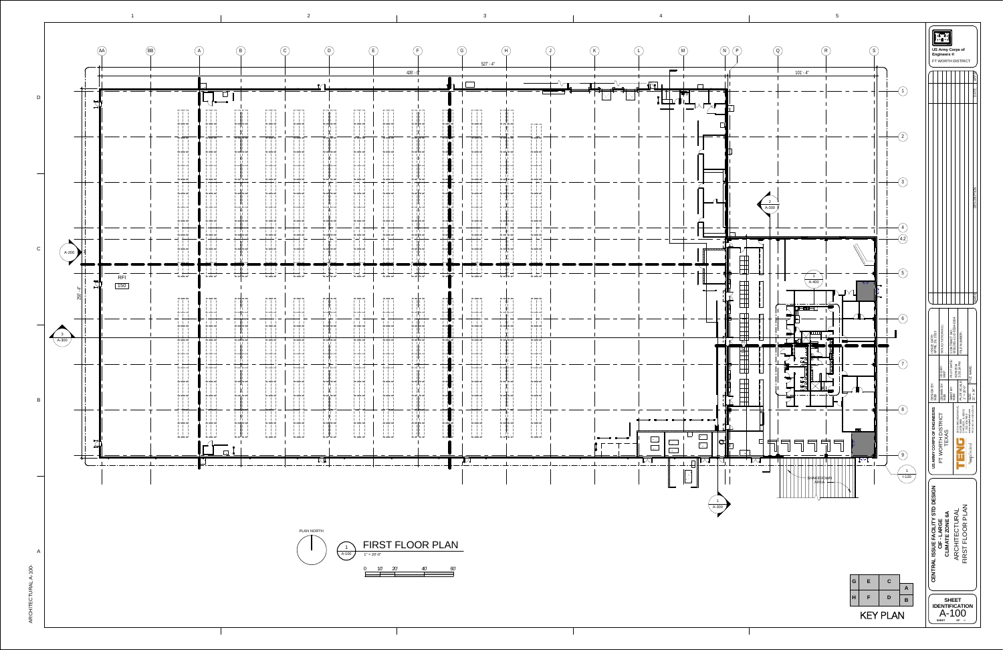$\rm \circ$ 프  $\vdash$ ш  $\bm{\mathsf{C}}$  $\vdash$ コ  $\propto$ A $\overline{\phantom{0}}$ A

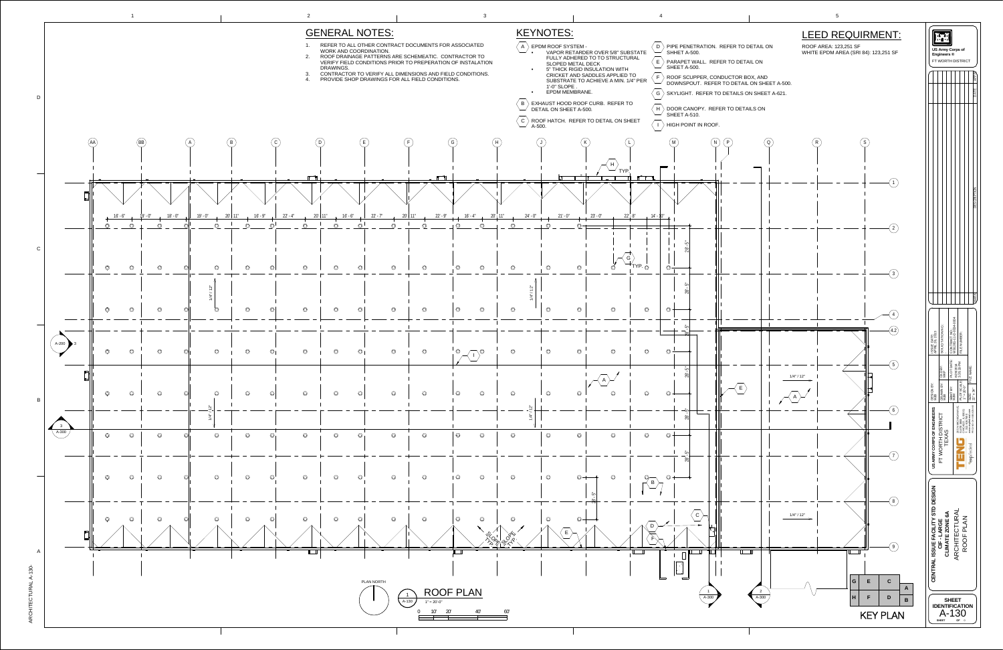

 $\propto$  $\bm{\mathsf{C}}$ H $\vdash$ ш  $\bm{\mathsf{C}}$  $\vdash$ コ  $\propto$ A $\overline{\phantom{0}}$ A $\overline{\phantom{a}}$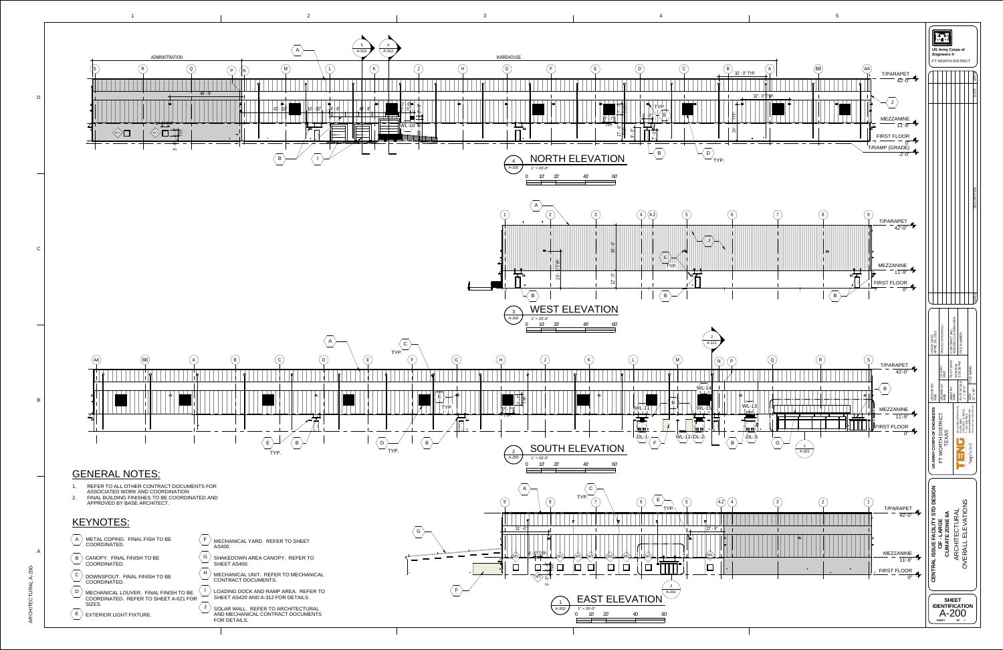

 $\propto$  $\bm{\mathsf{C}}$ H $\vdash$ ш  $\bm{\mathsf{C}}$  $\vdash$ コ  $\propto$ A $\overline{\phantom{0}}$ A $\sim$  $\circ$  $\circ$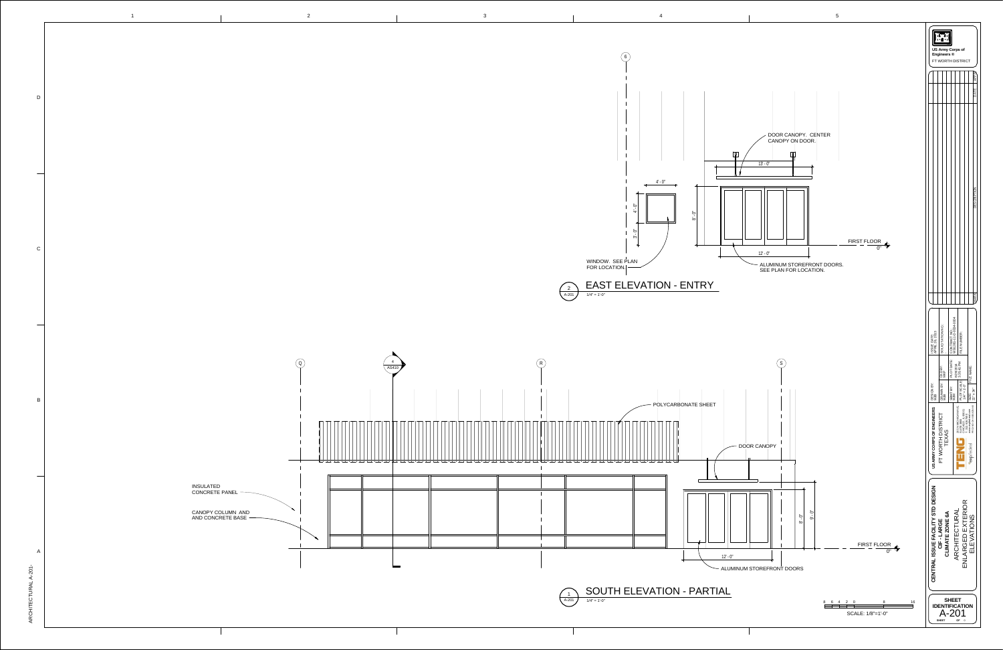